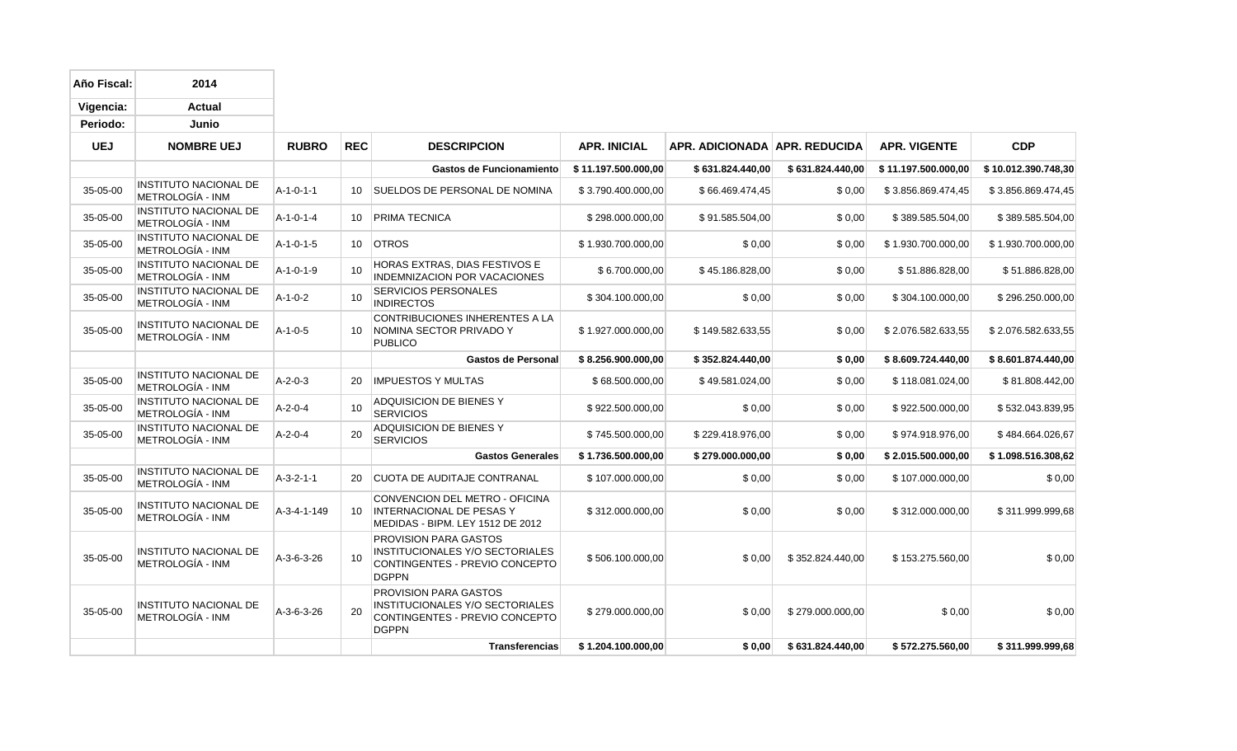| Año Fiscal: | 2014                                             |                     |            |                                                                                                                   |                     |                                 |                  |                     |                     |
|-------------|--------------------------------------------------|---------------------|------------|-------------------------------------------------------------------------------------------------------------------|---------------------|---------------------------------|------------------|---------------------|---------------------|
| Vigencia:   | <b>Actual</b>                                    |                     |            |                                                                                                                   |                     |                                 |                  |                     |                     |
| Periodo:    | Junio                                            |                     |            |                                                                                                                   |                     |                                 |                  |                     |                     |
| <b>UEJ</b>  | <b>NOMBRE UEJ</b>                                | <b>RUBRO</b>        | <b>REC</b> | <b>DESCRIPCION</b>                                                                                                | <b>APR. INICIAL</b> | APR. ADICIONADA   APR. REDUCIDA |                  | <b>APR. VIGENTE</b> | <b>CDP</b>          |
|             |                                                  |                     |            | <b>Gastos de Funcionamiento</b>                                                                                   | \$11.197.500.000,00 | \$631.824.440,00                | \$631.824.440,00 | \$11.197.500.000,00 | \$10.012.390.748,30 |
| 35-05-00    | <b>INSTITUTO NACIONAL DE</b><br>METROLOGÍA - INM | $A-1-0-1-1$         | 10         | SUELDOS DE PERSONAL DE NOMINA                                                                                     | \$3.790.400.000,00  | \$66.469.474,45                 | \$0,00           | \$3.856.869.474,45  | \$3.856.869.474,45  |
| 35-05-00    | <b>INSTITUTO NACIONAL DE</b><br>METROLOGÍA - INM | $A - 1 - 0 - 1 - 4$ | 10         | PRIMA TECNICA                                                                                                     | \$298.000.000,00    | \$91.585.504,00                 | \$0,00           | \$389.585.504,00    | \$389.585.504,00    |
| 35-05-00    | <b>INSTITUTO NACIONAL DE</b><br>METROLOGÍA - INM | A-1-0-1-5           | 10         | <b>OTROS</b>                                                                                                      | \$1.930.700.000,00  | \$0,00                          | \$0,00           | \$1.930.700.000,00  | \$1.930.700.000,00  |
| 35-05-00    | <b>INSTITUTO NACIONAL DE</b><br>METROLOGÍA - INM | $A-1-0-1-9$         | 10         | HORAS EXTRAS, DIAS FESTIVOS E<br><b>INDEMNIZACION POR VACACIONES</b>                                              | \$6.700.000,00      | \$45.186.828,00                 | \$0,00           | \$51.886.828,00     | \$51.886.828,00     |
| 35-05-00    | <b>INSTITUTO NACIONAL DE</b><br>METROLOGÍA - INM | $A-1-0-2$           | 10         | <b>SERVICIOS PERSONALES</b><br><b>INDIRECTOS</b>                                                                  | \$304.100.000,00    | \$0,00                          | \$0,00           | \$304.100.000,00    | \$296.250.000,00    |
| 35-05-00    | <b>INSTITUTO NACIONAL DE</b><br>METROLOGÍA - INM | $A-1-0-5$           | 10         | CONTRIBUCIONES INHERENTES A LA<br>NOMINA SECTOR PRIVADO Y<br><b>PUBLICO</b>                                       | \$1.927.000.000,00  | \$149.582.633,55                | \$0,00           | \$2.076.582.633,55  | \$2.076.582.633,55  |
|             |                                                  |                     |            | <b>Gastos de Personal</b>                                                                                         | \$8.256.900.000,00  | \$352.824.440,00                | \$0,00           | \$8.609.724.440,00  | \$8.601.874.440,00  |
| 35-05-00    | <b>INSTITUTO NACIONAL DE</b><br>METROLOGÍA - INM | $A - 2 - 0 - 3$     | 20         | <b>IMPUESTOS Y MULTAS</b>                                                                                         | \$68.500.000,00     | \$49.581.024,00                 | \$0,00           | \$118.081.024,00    | \$81.808.442,00     |
| 35-05-00    | <b>INSTITUTO NACIONAL DE</b><br>METROLOGÍA - INM | $A - 2 - 0 - 4$     | 10         | ADQUISICION DE BIENES Y<br><b>SERVICIOS</b>                                                                       | \$922.500.000,00    | \$0,00                          | \$0,00           | \$922.500.000,00    | \$532.043.839,95    |
| 35-05-00    | <b>INSTITUTO NACIONAL DE</b><br>METROLOGÍA - INM | $A-2-0-4$           | 20         | ADQUISICION DE BIENES Y<br><b>SERVICIOS</b>                                                                       | \$745.500.000,00    | \$229.418.976,00                | \$0,00           | \$974.918.976,00    | \$484.664.026,67    |
|             |                                                  |                     |            | <b>Gastos Generales</b>                                                                                           | \$1.736.500.000,00  | \$279.000.000,00                | \$0,00           | \$2.015.500.000,00  | \$1.098.516.308,62  |
| 35-05-00    | <b>INSTITUTO NACIONAL DE</b><br>METROLOGÍA - INM | $A-3-2-1-1$         | 20         | <b>CUOTA DE AUDITAJE CONTRANAL</b>                                                                                | \$107.000.000,00    | \$0,00                          | \$0,00           | \$107.000.000,00    | \$0,00              |
| 35-05-00    | <b>INSTITUTO NACIONAL DE</b><br>METROLOGÍA - INM | A-3-4-1-149         | 10         | CONVENCION DEL METRO - OFICINA<br><b>INTERNACIONAL DE PESAS Y</b><br>MEDIDAS - BIPM. LEY 1512 DE 2012             | \$312.000.000,00    | \$0,00                          | \$0,00           | \$312.000.000,00    | \$311.999.999,68    |
| 35-05-00    | INSTITUTO NACIONAL DE<br>METROLOGÍA - INM        | A-3-6-3-26          | 10         | <b>PROVISION PARA GASTOS</b><br>INSTITUCIONALES Y/O SECTORIALES<br>CONTINGENTES - PREVIO CONCEPTO<br><b>DGPPN</b> | \$506.100.000,00    | \$0,00                          | \$352.824.440,00 | \$153.275.560,00    | \$0,00              |
| 35-05-00    | <b>INSTITUTO NACIONAL DE</b><br>METROLOGÍA - INM | A-3-6-3-26          | 20         | <b>PROVISION PARA GASTOS</b><br>INSTITUCIONALES Y/O SECTORIALES<br>CONTINGENTES - PREVIO CONCEPTO<br><b>DGPPN</b> | \$279.000.000,00    | \$0,00                          | \$279.000.000,00 | \$0,00              | \$0,00              |
|             |                                                  |                     |            | <b>Transferencias</b>                                                                                             | \$1.204.100.000,00  | \$0,00                          | \$631.824.440,00 | \$572.275.560,00    | \$311.999.999,68    |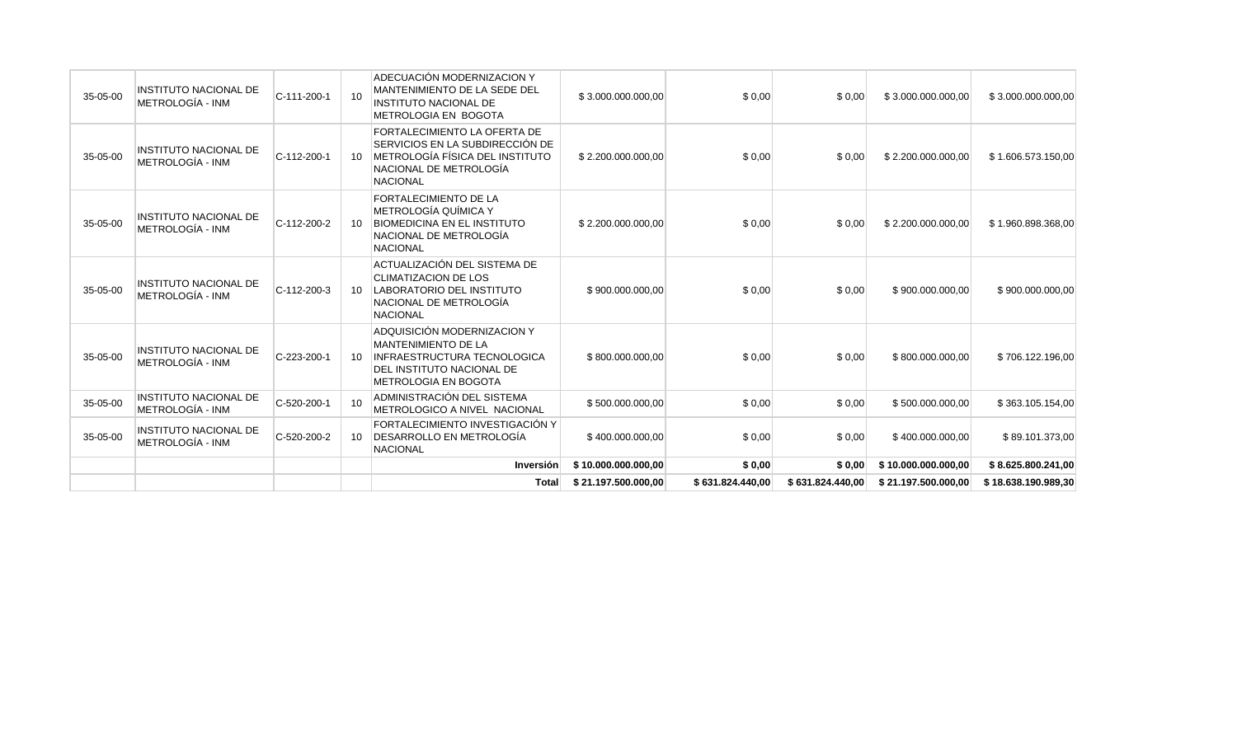|          |                                                  |               |    | <b>Total</b>                                                                                                                                                | \$21.197.500.000,00 | \$631.824.440,00 | \$631.824.440,00 | \$21.197.500.000,00 | \$18.638.190.989,30 |
|----------|--------------------------------------------------|---------------|----|-------------------------------------------------------------------------------------------------------------------------------------------------------------|---------------------|------------------|------------------|---------------------|---------------------|
|          |                                                  |               |    | Inversión                                                                                                                                                   | \$10.000.000.000,00 | \$0,00           | \$0,00           | \$10.000.000.000,00 | \$8.625.800.241,00  |
| 35-05-00 | <b>INSTITUTO NACIONAL DE</b><br>METROLOGÍA - INM | C-520-200-2   | 10 | FORTALECIMIENTO INVESTIGACIÓN Y<br>DESARROLLO EN METROLOGÍA<br><b>NACIONAL</b>                                                                              | \$400.000.000,00    | \$0,00           | \$0,00           | \$400.000.000,00    | \$89.101.373,00     |
| 35-05-00 | <b>INSTITUTO NACIONAL DE</b><br>METROLOGÍA - INM | C-520-200-1   | 10 | ADMINISTRACIÓN DEL SISTEMA<br>METROLOGICO A NIVEL NACIONAL                                                                                                  | \$500.000.000,00    | \$0,00           | \$0,00           | \$500.000.000,00    | \$363.105.154,00    |
| 35-05-00 | <b>INSTITUTO NACIONAL DE</b><br>METROLOGÍA - INM | C-223-200-1   | 10 | ADQUISICIÓN MODERNIZACION Y<br><b>MANTENIMIENTO DE LA</b><br><b>INFRAESTRUCTURA TECNOLOGICA</b><br>DEL INSTITUTO NACIONAL DE<br><b>METROLOGIA EN BOGOTA</b> | \$800.000.000,00    | \$0,00           | \$0,00           | \$800.000.000,00    | \$706.122.196,00    |
| 35-05-00 | <b>INSTITUTO NACIONAL DE</b><br>METROLOGÍA - INM | $C-112-200-3$ | 10 | ACTUALIZACIÓN DEL SISTEMA DE<br><b>CLIMATIZACION DE LOS</b><br>LABORATORIO DEL INSTITUTO<br>NACIONAL DE METROLOGÍA<br><b>NACIONAL</b>                       | \$900.000.000,00    | \$0,00           | \$0,00           | \$900.000.000,00    | \$900.000.000,00    |
| 35-05-00 | <b>INSTITUTO NACIONAL DE</b><br>METROLOGÍA - INM | C-112-200-2   | 10 | <b>FORTALECIMIENTO DE LA</b><br><b>METROLOGÍA QUÍMICA Y</b><br><b>BIOMEDICINA EN EL INSTITUTO</b><br>NACIONAL DE METROLOGÍA<br><b>NACIONAL</b>              | \$2.200.000.000,00  | \$0,00           | \$0,00           | \$2.200.000.000,00  | \$1.960.898.368,00  |
| 35-05-00 | <b>INSTITUTO NACIONAL DE</b><br>METROLOGÍA - INM | C-112-200-1   | 10 | FORTALECIMIENTO LA OFERTA DE<br>SERVICIOS EN LA SUBDIRECCIÓN DE<br>METROLOGÍA FÍSICA DEL INSTITUTO<br>NACIONAL DE METROLOGÍA<br><b>NACIONAL</b>             | \$2.200.000.000,00  | \$0,00           | \$0,00           | \$2.200.000.000,00  | \$1.606.573.150,00  |
| 35-05-00 | <b>INSTITUTO NACIONAL DE</b><br>METROLOGÍA - INM | C-111-200-1   | 10 | ADECUACIÓN MODERNIZACION Y<br>MANTENIMIENTO DE LA SEDE DEL<br>INSTITUTO NACIONAL DE<br>METROLOGIA EN BOGOTA                                                 | \$3.000.000.000,00  | \$0,00           | \$0,00           | \$3.000.000.000,00  | \$3.000.000.000,00  |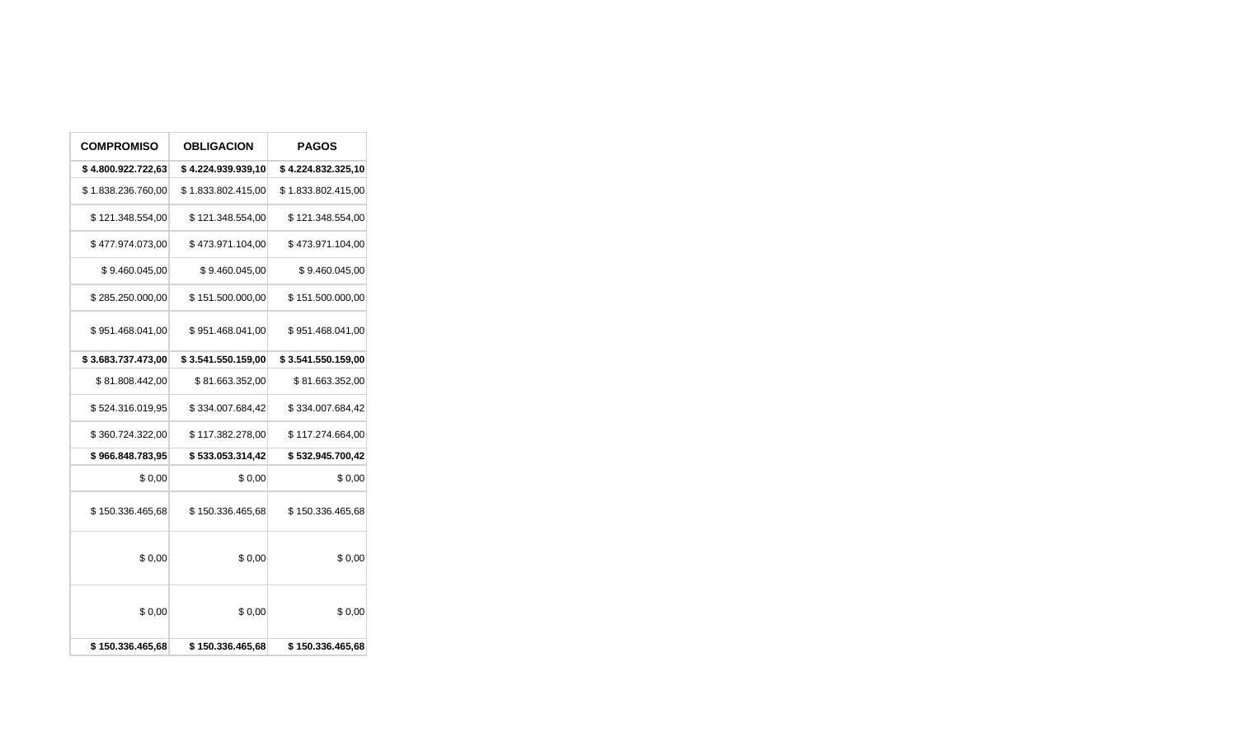| <b>COMPROMISO</b>  | <b>OBLIGACION</b>  | <b>PAGOS</b>       |
|--------------------|--------------------|--------------------|
| \$4.800.922.722,63 | \$4.224.939.939,10 | \$4.224.832.325,10 |
| \$1.838.236.760,00 | \$1.833.802.415,00 | \$1.833.802.415,00 |
| \$121.348.554,00   | \$121.348.554,00   | \$121.348.554,00   |
| \$477.974.073,00   | \$473.971.104,00   | \$473.971.104,00   |
| \$9.460.045,00     | \$9.460.045,00     | \$9.460.045,00     |
| \$285.250.000,00   | \$151.500.000,00   | \$151.500.000,00   |
| \$951.468.041,00   | \$951.468.041,00   | \$951.468.041,00   |
| \$3.683.737.473,00 | \$3.541.550.159,00 | \$3.541.550.159,00 |
| \$81.808.442,00    | \$81.663.352,00    | \$81.663.352,00    |
| \$524.316.019,95   | \$334.007.684,42   | \$334.007.684,42   |
| \$360.724.322,00   | \$117.382.278,00   | \$117.274.664,00   |
| \$966.848.783,95   | \$533.053.314,42   | \$532.945.700,42   |
| \$0,00             | \$0,00             | \$0,00             |
| \$150.336.465,68   | \$150.336.465,68   | \$150.336.465,68   |
| \$0,00             | \$0,00             | \$0,00             |
| \$0,00             | \$0,00             | \$0,00             |
| \$150.336.465,68   | \$150.336.465,68   | \$150.336.465,68   |

 $\overline{\phantom{a}}$